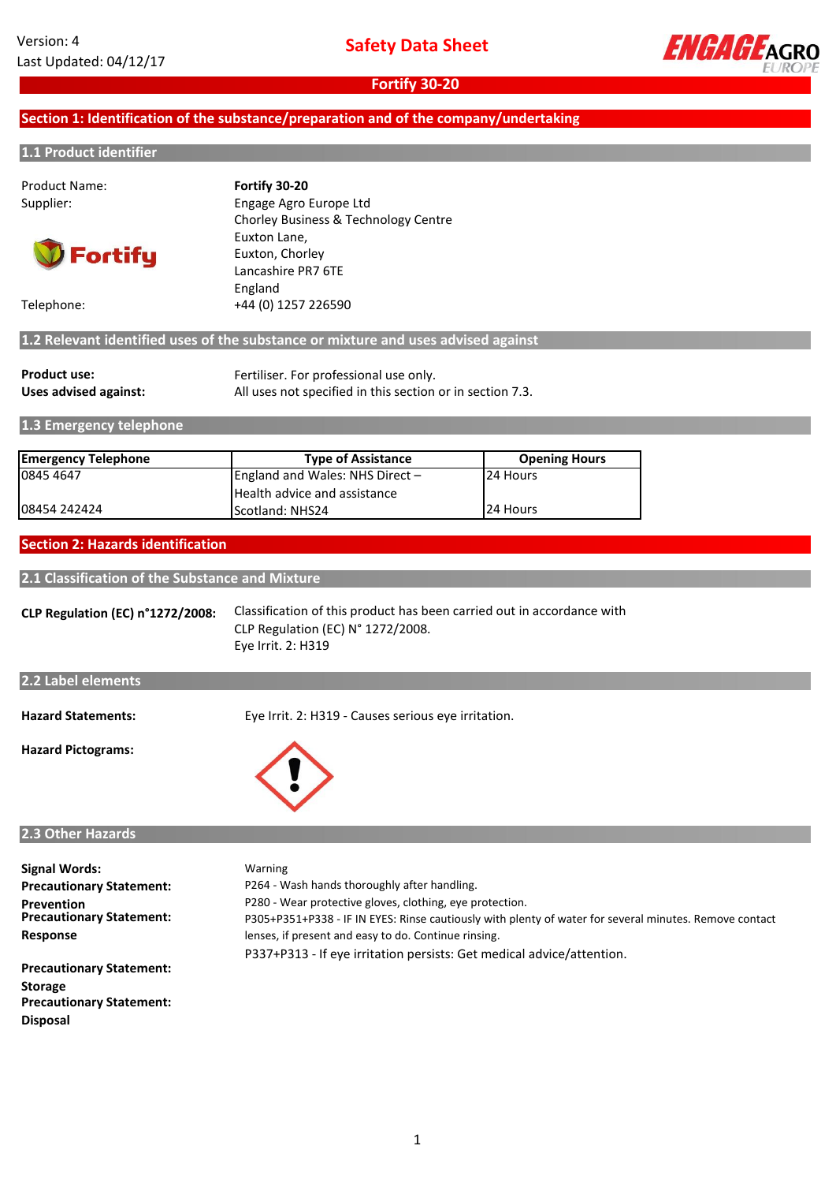

# **Section 1: Identification of the substance/preparation and of the company/undertaking**

# **1.1 Product identifier**

**Disposal**

| <b>Product Name:</b><br>Supplier:<br>Fortify<br>Telephone:                                                                  | Fortify 30-20<br>Engage Agro Europe Ltd<br>Chorley Business & Technology Centre<br>Euxton Lane,<br>Euxton, Chorley<br>Lancashire PR7 6TE<br>England<br>+44 (0) 1257 226590                                                                                                                                                                                     |                                              |  |
|-----------------------------------------------------------------------------------------------------------------------------|----------------------------------------------------------------------------------------------------------------------------------------------------------------------------------------------------------------------------------------------------------------------------------------------------------------------------------------------------------------|----------------------------------------------|--|
|                                                                                                                             | 1.2 Relevant identified uses of the substance or mixture and uses advised against                                                                                                                                                                                                                                                                              |                                              |  |
| <b>Product use:</b><br><b>Uses advised against:</b>                                                                         | Fertiliser. For professional use only.<br>All uses not specified in this section or in section 7.3.                                                                                                                                                                                                                                                            |                                              |  |
| 1.3 Emergency telephone                                                                                                     |                                                                                                                                                                                                                                                                                                                                                                |                                              |  |
| <b>Emergency Telephone</b><br>0845 4647<br>08454 242424                                                                     | <b>Type of Assistance</b><br>England and Wales: NHS Direct -<br>Health advice and assistance<br>Scotland: NHS24                                                                                                                                                                                                                                                | <b>Opening Hours</b><br>24 Hours<br>24 Hours |  |
| <b>Section 2: Hazards identification</b>                                                                                    |                                                                                                                                                                                                                                                                                                                                                                |                                              |  |
| 2.1 Classification of the Substance and Mixture                                                                             |                                                                                                                                                                                                                                                                                                                                                                |                                              |  |
| CLP Regulation (EC) n°1272/2008:                                                                                            | Classification of this product has been carried out in accordance with<br>CLP Regulation (EC) N° 1272/2008.<br>Eye Irrit. 2: H319                                                                                                                                                                                                                              |                                              |  |
| 2.2 Label elements                                                                                                          |                                                                                                                                                                                                                                                                                                                                                                |                                              |  |
| <b>Hazard Statements:</b>                                                                                                   | Eye Irrit. 2: H319 - Causes serious eye irritation.                                                                                                                                                                                                                                                                                                            |                                              |  |
| <b>Hazard Pictograms:</b>                                                                                                   |                                                                                                                                                                                                                                                                                                                                                                |                                              |  |
| 2.3 Other Hazards                                                                                                           |                                                                                                                                                                                                                                                                                                                                                                |                                              |  |
| <b>Signal Words:</b><br><b>Precautionary Statement:</b><br><b>Prevention</b><br><b>Precautionary Statement:</b><br>Response | Warning<br>P264 - Wash hands thoroughly after handling.<br>P280 - Wear protective gloves, clothing, eye protection.<br>P305+P351+P338 - IF IN EYES: Rinse cautiously with plenty of water for several minutes. Remove contact<br>lenses, if present and easy to do. Continue rinsing.<br>P337+P313 - If eye irritation persists: Get medical advice/attention. |                                              |  |
| <b>Precautionary Statement:</b><br><b>Storage</b><br><b>Precautionary Statement:</b>                                        |                                                                                                                                                                                                                                                                                                                                                                |                                              |  |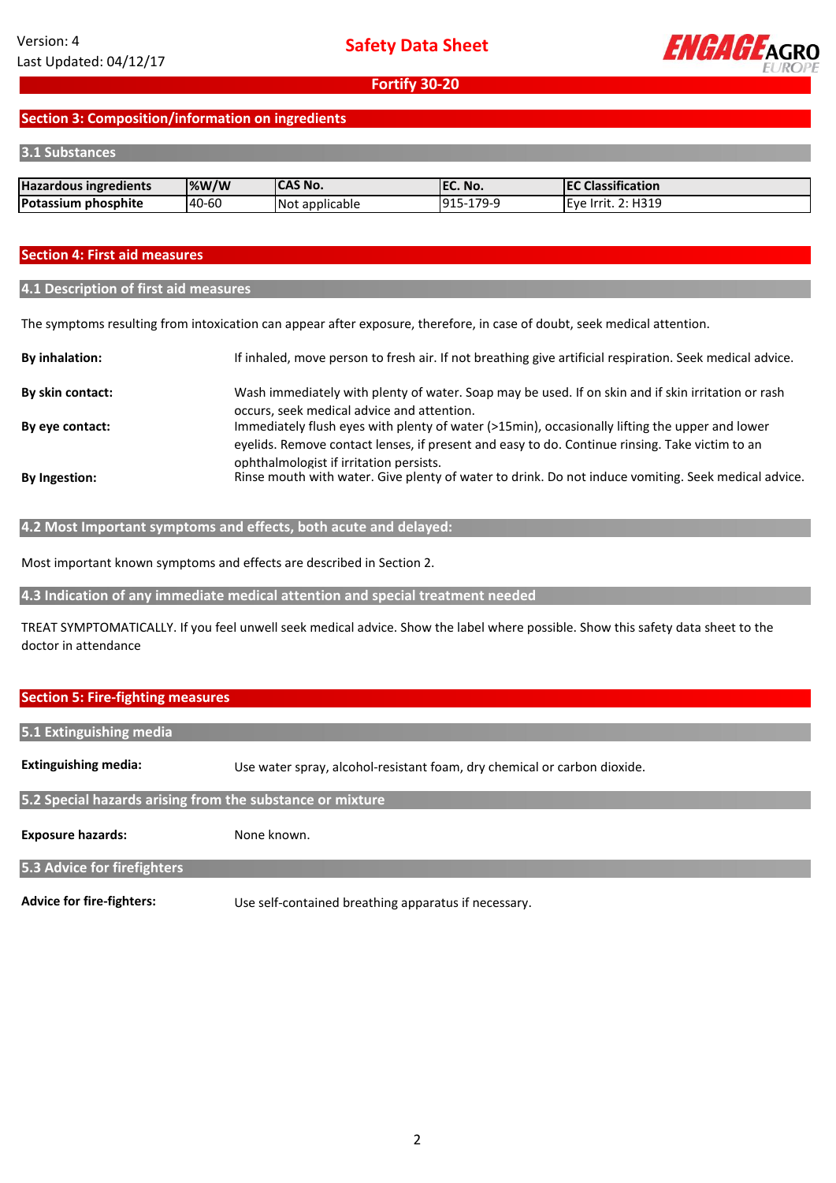

#### **Section 3: Composition/information on ingredients**

#### **3.1 Substances**

| <b>Hazardous ingredients</b> | M/W   | <b>ICAS No.</b>      | IEC. No.               | <b>Classification</b><br>$\blacksquare$ |
|------------------------------|-------|----------------------|------------------------|-----------------------------------------|
| Potassium<br>phosphite       | 40-60 | 'Not<br>applicable : | $179 - C$<br>1915<br>. | H319<br>Eve<br>.rrıt<br>-               |

#### **Section 4: First aid measures**

#### **4.1 Description of first aid measures**

The symptoms resulting from intoxication can appear after exposure, therefore, in case of doubt, seek medical attention.

| <b>By inhalation:</b> | If inhaled, move person to fresh air. If not breathing give artificial respiration. Seek medical advice.                                                                                                                                    |
|-----------------------|---------------------------------------------------------------------------------------------------------------------------------------------------------------------------------------------------------------------------------------------|
| By skin contact:      | Wash immediately with plenty of water. Soap may be used. If on skin and if skin irritation or rash<br>occurs, seek medical advice and attention.                                                                                            |
| By eye contact:       | Immediately flush eyes with plenty of water (>15min), occasionally lifting the upper and lower<br>eyelids. Remove contact lenses, if present and easy to do. Continue rinsing. Take victim to an<br>ophthalmologist if irritation persists. |
| <b>By Ingestion:</b>  | Rinse mouth with water. Give plenty of water to drink. Do not induce vomiting. Seek medical advice.                                                                                                                                         |

#### **4.2 Most Important symptoms and effects, both acute and delayed:**

Most important known symptoms and effects are described in Section 2.

**4.3 Indication of any immediate medical attention and special treatment needed**

TREAT SYMPTOMATICALLY. If you feel unwell seek medical advice. Show the label where possible. Show this safety data sheet to the doctor in attendance

#### **Section 5: Fire-fighting measures**

**5.1 Extinguishing media**

**Extinguishing media:** Use water spray, alcohol-resistant foam, dry chemical or carbon dioxide.

**5.2 Special hazards arising from the substance or mixture**

**Exposure hazards:**

**5.3 Advice for firefighters**

**Advice for fire-fighters:** Use self-contained breathing apparatus if necessary.

None known.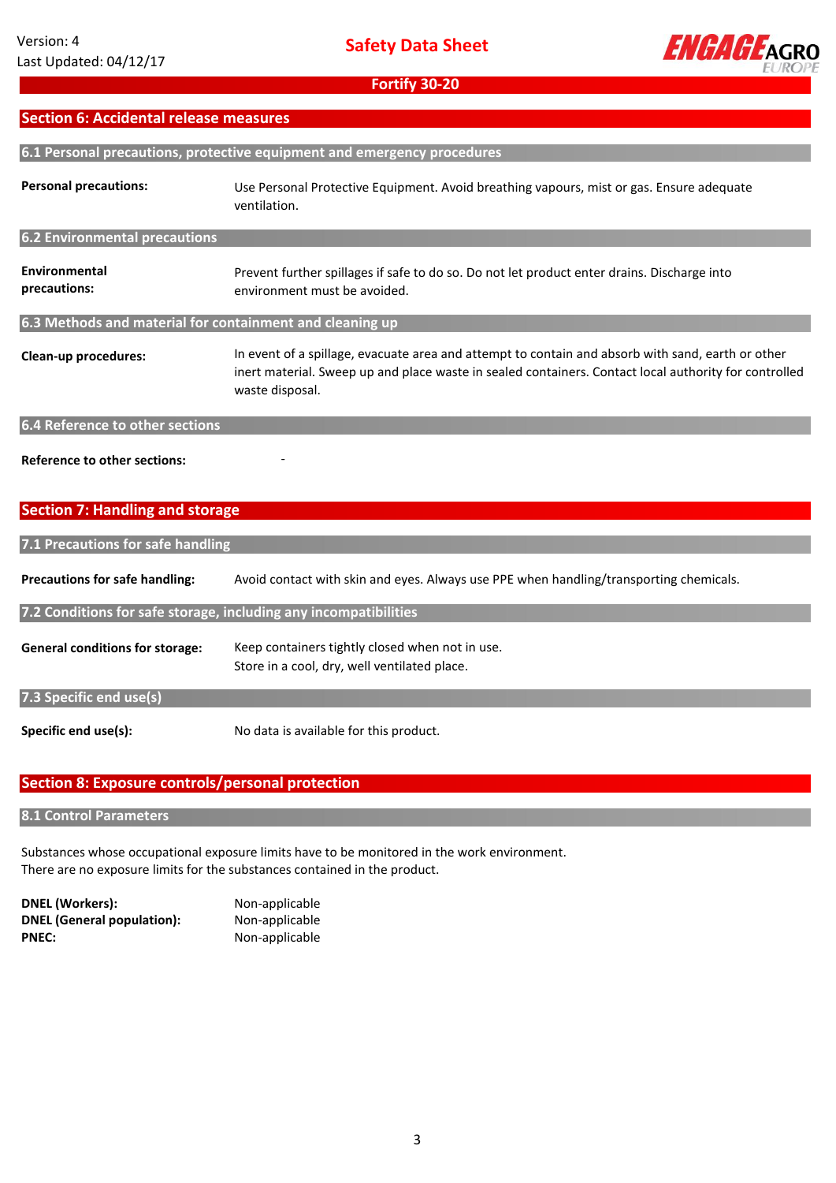

# **Section 6: Accidental release measures**

|                                                          | 6.1 Personal precautions, protective equipment and emergency procedures                                                                                                                                                       |
|----------------------------------------------------------|-------------------------------------------------------------------------------------------------------------------------------------------------------------------------------------------------------------------------------|
| <b>Personal precautions:</b>                             | Use Personal Protective Equipment. Avoid breathing vapours, mist or gas. Ensure adequate<br>ventilation.                                                                                                                      |
| <b>6.2 Environmental precautions</b>                     |                                                                                                                                                                                                                               |
| Environmental<br>precautions:                            | Prevent further spillages if safe to do so. Do not let product enter drains. Discharge into<br>environment must be avoided.                                                                                                   |
| 6.3 Methods and material for containment and cleaning up |                                                                                                                                                                                                                               |
| Clean-up procedures:                                     | In event of a spillage, evacuate area and attempt to contain and absorb with sand, earth or other<br>inert material. Sweep up and place waste in sealed containers. Contact local authority for controlled<br>waste disposal. |
| 6.4 Reference to other sections                          |                                                                                                                                                                                                                               |

### **Reference to other sections:** -

# **Section 7: Handling and storage**

| 7.1 Precautions for safe handling                                |                                                                                                 |  |
|------------------------------------------------------------------|-------------------------------------------------------------------------------------------------|--|
| <b>Precautions for safe handling:</b>                            | Avoid contact with skin and eyes. Always use PPE when handling/transporting chemicals.          |  |
| 7.2 Conditions for safe storage, including any incompatibilities |                                                                                                 |  |
| <b>General conditions for storage:</b>                           | Keep containers tightly closed when not in use.<br>Store in a cool, dry, well ventilated place. |  |
| 7.3 Specific end use(s)                                          |                                                                                                 |  |
| Specific end use(s):                                             | No data is available for this product.                                                          |  |

# **Section 8: Exposure controls/personal protection**

#### **8.1 Control Parameters**

Substances whose occupational exposure limits have to be monitored in the work environment. There are no exposure limits for the substances contained in the product.

**DNEL (Workers):** Non-applicable<br> **DNEL (General population):** Non-applicable **DNEL (General population): PNEC:** Non-applicable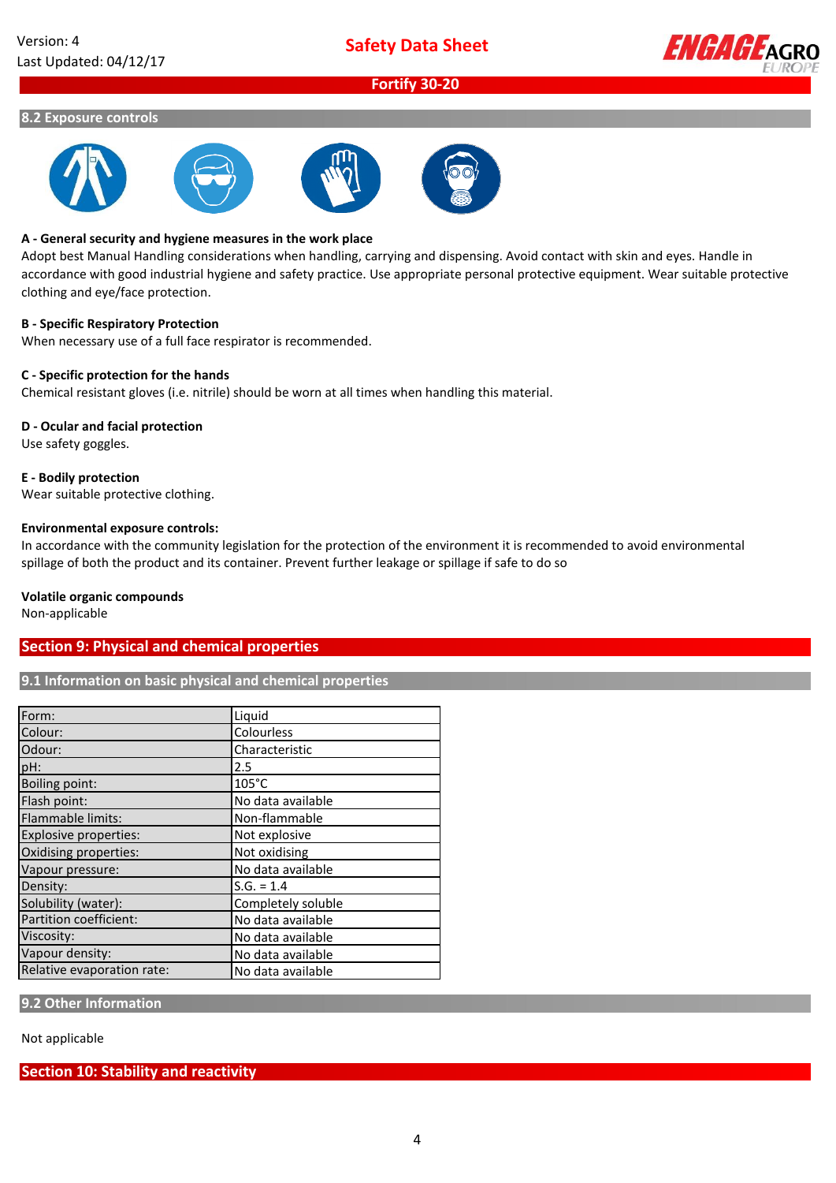**Safety Data Sheet**

# **Fortify 30-20**



#### **8.2 Exposure controls**









#### **A - General security and hygiene measures in the work place**

Adopt best Manual Handling considerations when handling, carrying and dispensing. Avoid contact with skin and eyes. Handle in accordance with good industrial hygiene and safety practice. Use appropriate personal protective equipment. Wear suitable protective clothing and eye/face protection.

#### **B - Specific Respiratory Protection**

When necessary use of a full face respirator is recommended.

#### **C - Specific protection for the hands**

Chemical resistant gloves (i.e. nitrile) should be worn at all times when handling this material.

#### **D - Ocular and facial protection**

Use safety goggles.

**E - Bodily protection**

Wear suitable protective clothing.

#### **Environmental exposure controls:**

In accordance with the community legislation for the protection of the environment it is recommended to avoid environmental spillage of both the product and its container. Prevent further leakage or spillage if safe to do so

#### **Volatile organic compounds**

Non-applicable

## **Section 9: Physical and chemical properties**

**9.1 Information on basic physical and chemical properties**

| Form:                        | Liquid             |
|------------------------------|--------------------|
| Colour:                      | Colourless         |
| Odour:                       | Characteristic     |
| pH:                          | 2.5                |
| Boiling point:               | 105°C              |
| Flash point:                 | No data available  |
| Flammable limits:            | Non-flammable      |
| <b>Explosive properties:</b> | Not explosive      |
| Oxidising properties:        | Not oxidising      |
| Vapour pressure:             | No data available  |
| Density:                     | $S.G. = 1.4$       |
| Solubility (water):          | Completely soluble |
| Partition coefficient:       | No data available  |
| Viscosity:                   | No data available  |
| Vapour density:              | No data available  |
| Relative evaporation rate:   | No data available  |

**9.2 Other Information**

Not applicable

**Section 10: Stability and reactivity**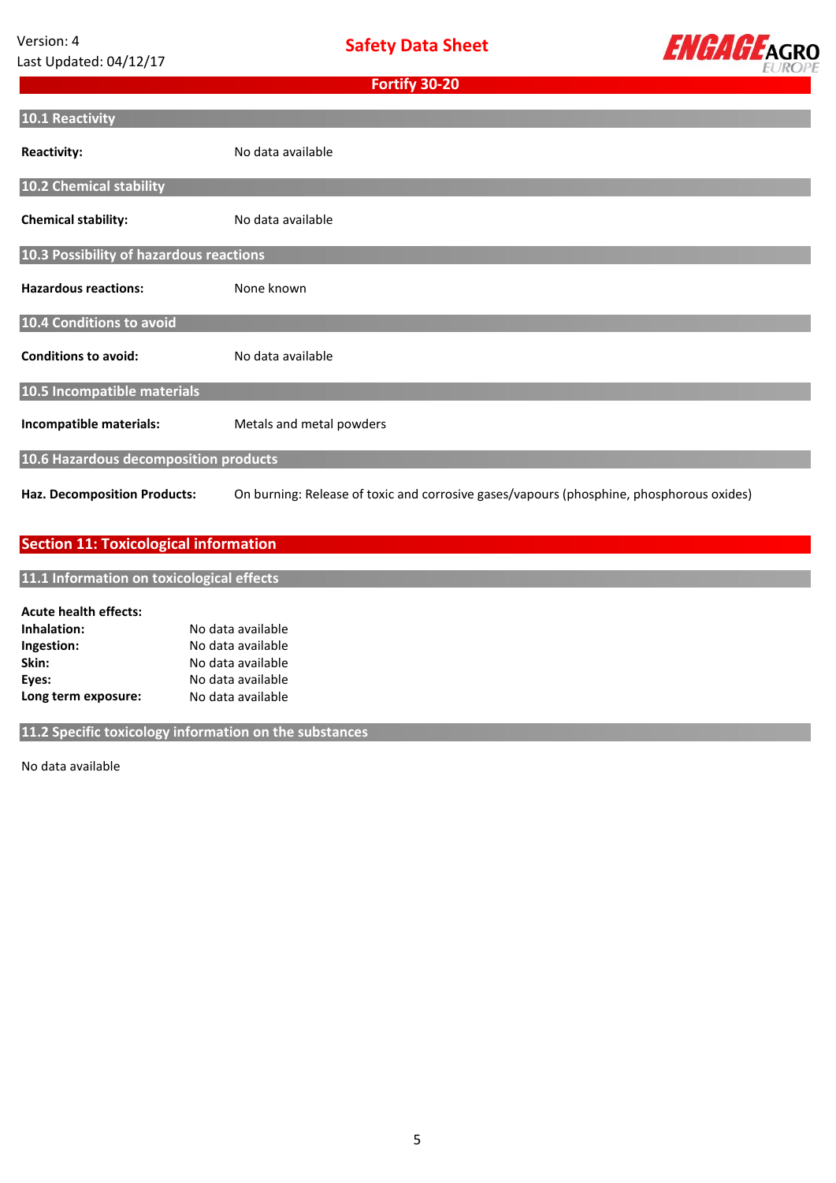

| 10.1 Reactivity                         |                                                                                          |
|-----------------------------------------|------------------------------------------------------------------------------------------|
| <b>Reactivity:</b>                      | No data available                                                                        |
| 10.2 Chemical stability                 |                                                                                          |
| <b>Chemical stability:</b>              | No data available                                                                        |
| 10.3 Possibility of hazardous reactions |                                                                                          |
| <b>Hazardous reactions:</b>             | None known                                                                               |
| 10.4 Conditions to avoid                |                                                                                          |
| <b>Conditions to avoid:</b>             | No data available                                                                        |
| 10.5 Incompatible materials             |                                                                                          |
| Incompatible materials:                 | Metals and metal powders                                                                 |
| 10.6 Hazardous decomposition products   |                                                                                          |
| <b>Haz. Decomposition Products:</b>     | On burning: Release of toxic and corrosive gases/vapours (phosphine, phosphorous oxides) |

# **Section 11: Toxicological information**

**11.1 Information on toxicological effects**

#### **Acute health effects:**

| Inhalation:         | No data available |
|---------------------|-------------------|
| Ingestion:          | No data available |
| Skin:               | No data available |
| Eyes:               | No data available |
| Long term exposure: | No data available |

**11.2 Specific toxicology information on the substances**

No data available **available**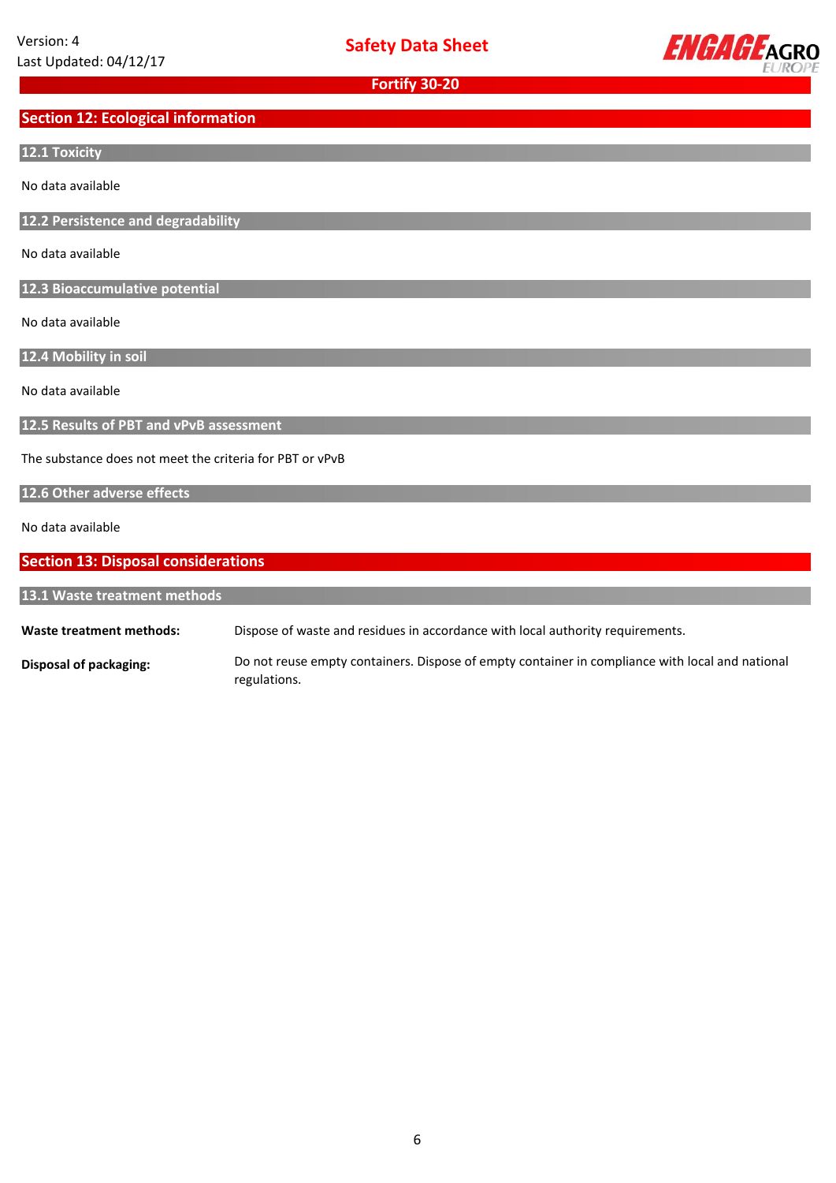

# **Section 12: Ecological information**

# **12.1 Toxicity**

No data available

**12.2 Persistence and degradability**

No data available

**12.3 Bioaccumulative potential**

No data available

**12.4 Mobility in soil**

No data available

**12.5 Results of PBT and vPvB assessment**

The substance does not meet the criteria for PBT or vPvB

# **12.6 Other adverse effects**

No data available

# **Section 13: Disposal considerations**

| 13.1 Waste treatment methods |                                                                                                                 |
|------------------------------|-----------------------------------------------------------------------------------------------------------------|
| Waste treatment methods:     | Dispose of waste and residues in accordance with local authority requirements.                                  |
| Disposal of packaging:       | Do not reuse empty containers. Dispose of empty container in compliance with local and national<br>regulations. |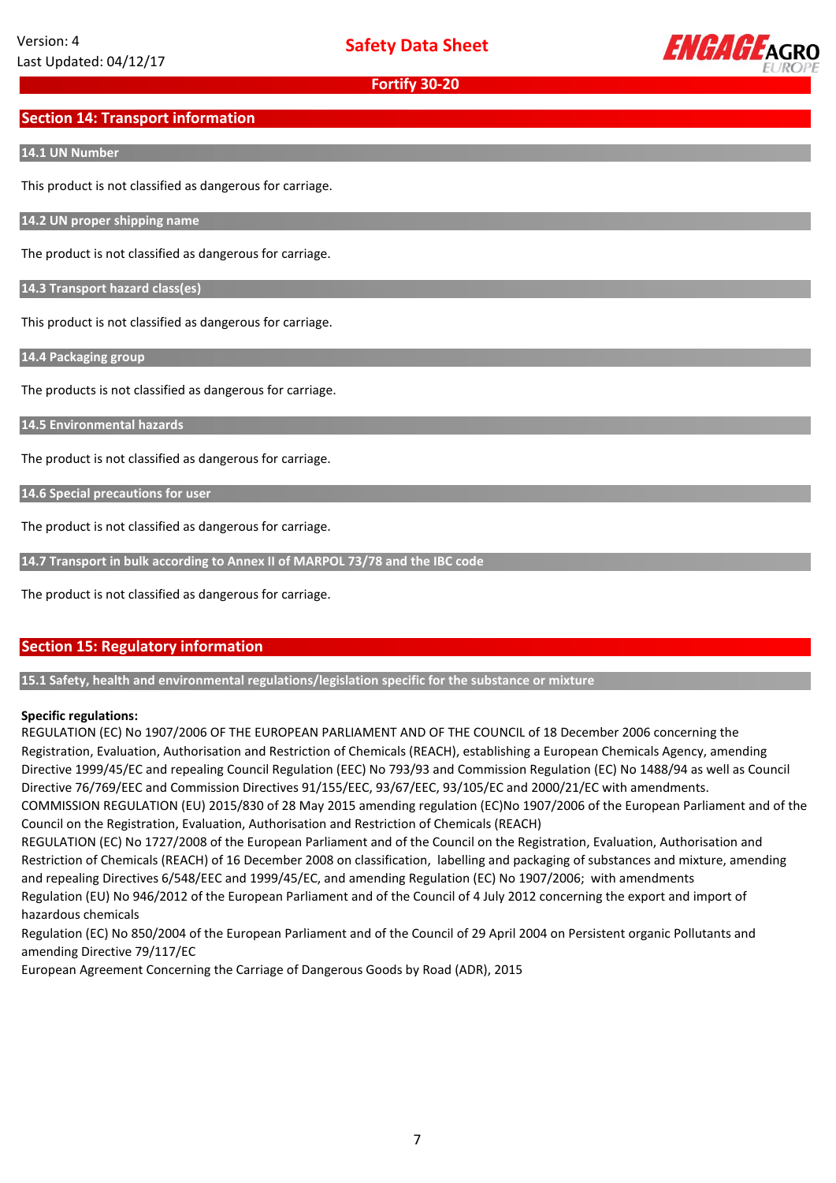

# **Section 14: Transport information**

#### **14.1 UN Number**

This product is not classified as dangerous for carriage.

**14.2 UN proper shipping name**

The product is not classified as dangerous for carriage.

**14.3 Transport hazard class(es)**

This product is not classified as dangerous for carriage.

**14.4 Packaging group**

The products is not classified as dangerous for carriage.

**14.5 Environmental hazards**

The product is not classified as dangerous for carriage.

**14.6 Special precautions for user**

The product is not classified as dangerous for carriage.

**14.7 Transport in bulk according to Annex II of MARPOL 73/78 and the IBC code**

The product is not classified as dangerous for carriage.

## **Section 15: Regulatory information**

**15.1 Safety, health and environmental regulations/legislation specific for the substance or mixture**

#### **Specific regulations:**

REGULATION (EC) No 1907/2006 OF THE EUROPEAN PARLIAMENT AND OF THE COUNCIL of 18 December 2006 concerning the Registration, Evaluation, Authorisation and Restriction of Chemicals (REACH), establishing a European Chemicals Agency, amending Directive 1999/45/EC and repealing Council Regulation (EEC) No 793/93 and Commission Regulation (EC) No 1488/94 as well as Council Directive 76/769/EEC and Commission Directives 91/155/EEC, 93/67/EEC, 93/105/EC and 2000/21/EC with amendments. COMMISSION REGULATION (EU) 2015/830 of 28 May 2015 amending regulation (EC)No 1907/2006 of the European Parliament and of the Council on the Registration, Evaluation, Authorisation and Restriction of Chemicals (REACH)

REGULATION (EC) No 1727/2008 of the European Parliament and of the Council on the Registration, Evaluation, Authorisation and Restriction of Chemicals (REACH) of 16 December 2008 on classification, labelling and packaging of substances and mixture, amending and repealing Directives 6/548/EEC and 1999/45/EC, and amending Regulation (EC) No 1907/2006; with amendments Regulation (EU) No 946/2012 of the European Parliament and of the Council of 4 July 2012 concerning the export and import of hazardous chemicals

Regulation (EC) No 850/2004 of the European Parliament and of the Council of 29 April 2004 on Persistent organic Pollutants and amending Directive 79/117/EC

European Agreement Concerning the Carriage of Dangerous Goods by Road (ADR), 2015